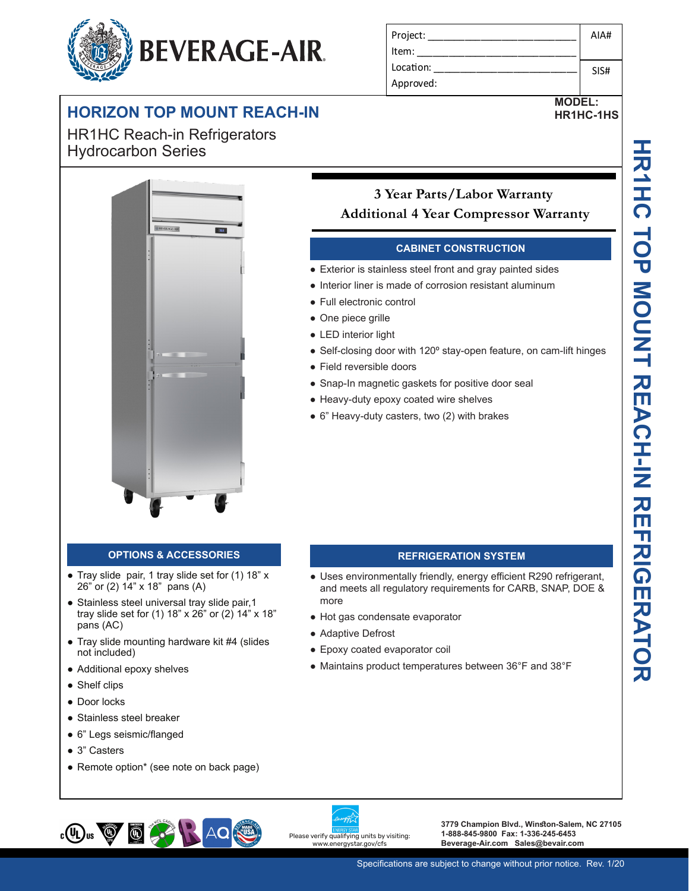# **BEVERAGE-AIR.**

## **HORIZON TOP MOUNT REACH-IN**

**-10 Secure temperature-sensitive product for worry-free operation** HR1HC Reach-in Refrigerators Hydrocarbon Series



| Project:  | AIA# |
|-----------|------|
| Item:     |      |
| Location: | SIS# |
| Approved: |      |

**MODEL: HR1HC-1HS**

## **Built Built - Strategy Strategy Strategy Strategy Strategy Strategy Strategy Strategy Strategy Strategy Strategy Strategy Strategy Strategy Strategy Strategy Strategy Strategy Strategy Strategy Strategy Strategy Strateg Secure temperature-sensitive product for worry-free operation LED indicator to quickly view status Additional 4 Year Compressor Warranty**

## **CABINET CONSTRUCTION**

- **Secure temperature operation** e Exterior is stainless steel front and gray painted sides
	- Interior liner is made of corrosion resistant aluminum
	- Full electronic control
		- One piece grille
		- LED interior light
		- Self-closing door with 120° stay-open feature, on cam-lift hinges
		- Field reversible doors
		- Snap-In magnetic gaskets for positive door seal
		- Heavy-duty epoxy coated wire shelves
		- 6" Heavy-duty casters, two (2) with brakes

- Tray slide pair, 1 tray slide set for (1) 18" x 26" or (2) 14" x 18" pans (A)
- Stainless steel universal tray slide pair, 1 tray slide set for (1) 18" x 26" or (2) 14" x 18" pans (AC)
- Tray slide mounting hardware kit #4 (slides not included)
- Additional epoxy shelves
- Shelf clips
- Door locks
- Stainless steel breaker
- 6" Legs seismic/flanged
- 3" Casters
- Remote option\* (see note on back page)

## **OPTIONS & ACCESSORIES REFRIGERATION SYSTEM**

- Uses environmentally friendly, energy efficient R290 refrigerant, and meets all regulatory requirements for CARB, SNAP, DOE & more
- Hot gas condensate evaporator
- Adaptive Defrost
- Epoxy coated evaporator coil
- Maintains product temperatures between 36°F and 38°F





**3779 Champion Blvd., Winston-Salem, NC 27105 1-888-845-9800 Fax: 1-336-245-6453 Beverage-Air.com Sales@bevair.com**